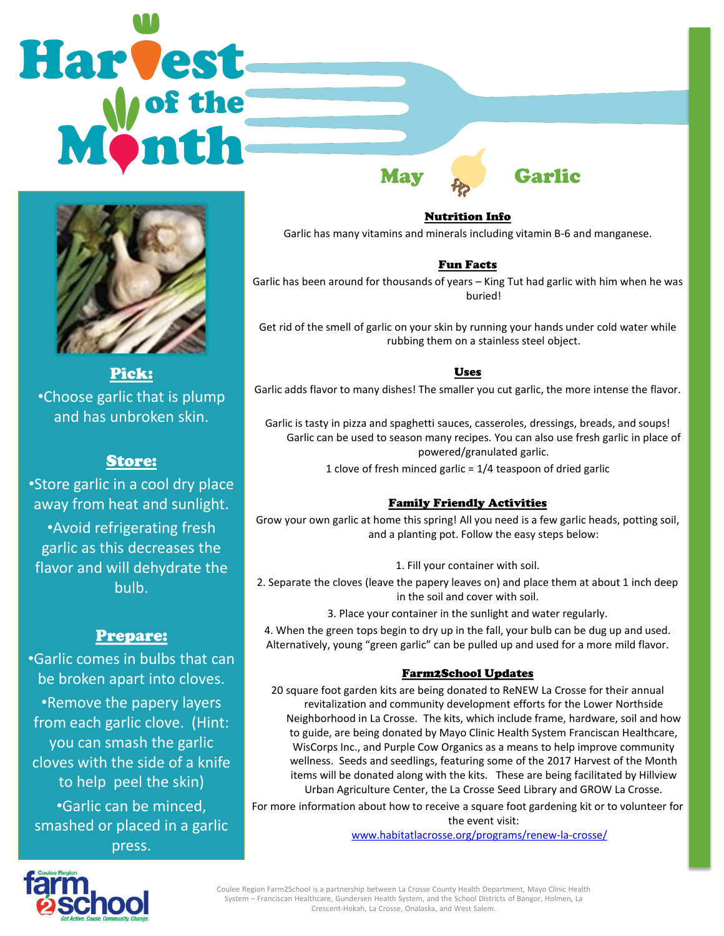# **Harvest**



Pick: •Choose garlic that is plump and has unbroken skin.

# Store:

•Store garlic in a cool dry place away from heat and sunlight.

•Avoid refrigerating fresh garlic as this decreases the flavor and will dehydrate the bulb.

# Prepare:

•Garlic comes in bulbs that can be broken apart into cloves. •Remove the papery layers from each garlic clove. (Hint: you can smash the garlic cloves with the side of a knife to help peel the skin) •Garlic can be minced, smashed or placed in a garlic press.

Nutrition Info Garlic has many vitamins and minerals including vitamin B-6 and manganese.

May Garlic

# Fun Facts

Garlic has been around for thousands of years – King Tut had garlic with him when he was buried!

Get rid of the smell of garlic on your skin by running your hands under cold water while rubbing them on a stainless steel object.

# Uses

Garlic adds flavor to many dishes! The smaller you cut garlic, the more intense the flavor.

Garlic is tasty in pizza and spaghetti sauces, casseroles, dressings, breads, and soups! Garlic can be used to season many recipes. You can also use fresh garlic in place of powered/granulated garlic.

1 clove of fresh minced garlic = 1/4 teaspoon of dried garlic

# Family Friendly Activities

Grow your own garlic at home this spring! All you need is a few garlic heads, potting soil, and a planting pot. Follow the easy steps below:

1. Fill your container with soil.

2. Separate the cloves (leave the papery leaves on) and place them at about 1 inch deep in the soil and cover with soil.

3. Place your container in the sunlight and water regularly.

4. When the green tops begin to dry up in the fall, your bulb can be dug up and used. Alternatively, young "green garlic" can be pulled up and used for a more mild flavor.

### Farm2School Updates

20 square foot garden kits are being donated to ReNEW La Crosse for their annual revitalization and community development efforts for the Lower Northside Neighborhood in La Crosse. The kits, which include frame, hardware, soil and how to guide, are being donated by Mayo Clinic Health System Franciscan Healthcare, WisCorps Inc., and Purple Cow Organics as a means to help improve community wellness. Seeds and seedlings, featuring some of the 2017 Harvest of the Month items will be donated along with the kits. These are being facilitated by Hillview Urban Agriculture Center, the La Crosse Seed Library and GROW La Crosse.

For more information about how to receive a square foot gardening kit or to volunteer for the event visit:

[www.habitatlacrosse.org/programs/renew-la-crosse/](http://www.habitatlacrosse.org/programs/renew-la-crosse/)



Coulee Region Farm2School is a partnership between La Crosse County Health Department, Mayo Clinic Health System – Franciscan Healthcare, Gundersen Health System, and the School Districts of Bangor, Holmen, La Crescent-Hokah, La Crosse, Onalaska, and West Salem.